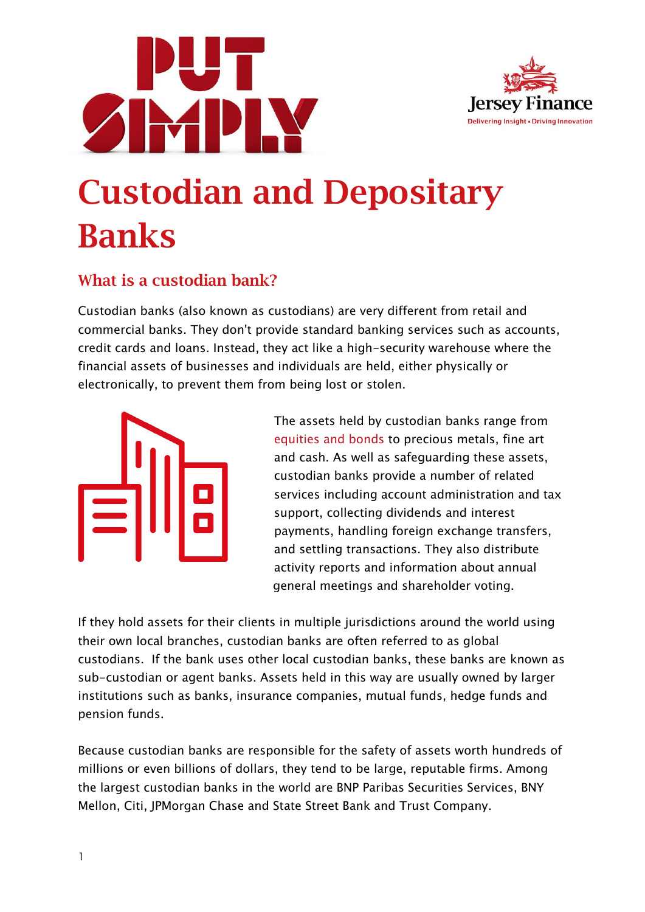



# Custodian and Depositary Banks

# What is a custodian bank?

Custodian banks (also known as custodians) are very different from retail and commercial banks. They don't provide standard banking services such as accounts, credit cards and loans. Instead, they act like a high-security warehouse where the financial assets of businesses and individuals are held, either physically or electronically, to prevent them from being lost or stolen.



The assets held by custodian banks range from [equities and bonds](https://www.jerseyfinance.je/our-work/put-simply-capital-markets-glossary/) to precious metals, fine art and cash. As well as safeguarding these assets, custodian banks provide a number of related services including account administration and tax support, collecting dividends and interest payments, handling foreign exchange transfers, and settling transactions. They also distribute activity reports and information about annual general meetings and shareholder voting.

If they hold assets for their clients in multiple jurisdictions around the world using their own local branches, custodian banks are often referred to as global custodians. If the bank uses other local custodian banks, these banks are known as sub-custodian or agent banks. Assets held in this way are usually owned by larger institutions such as banks, insurance companies, mutual funds, hedge funds and pension funds.

Because custodian banks are responsible for the safety of assets worth hundreds of millions or even billions of dollars, they tend to be large, reputable firms. Among the largest custodian banks in the world are BNP Paribas Securities Services, BNY Mellon, Citi, JPMorgan Chase and State Street Bank and Trust Company.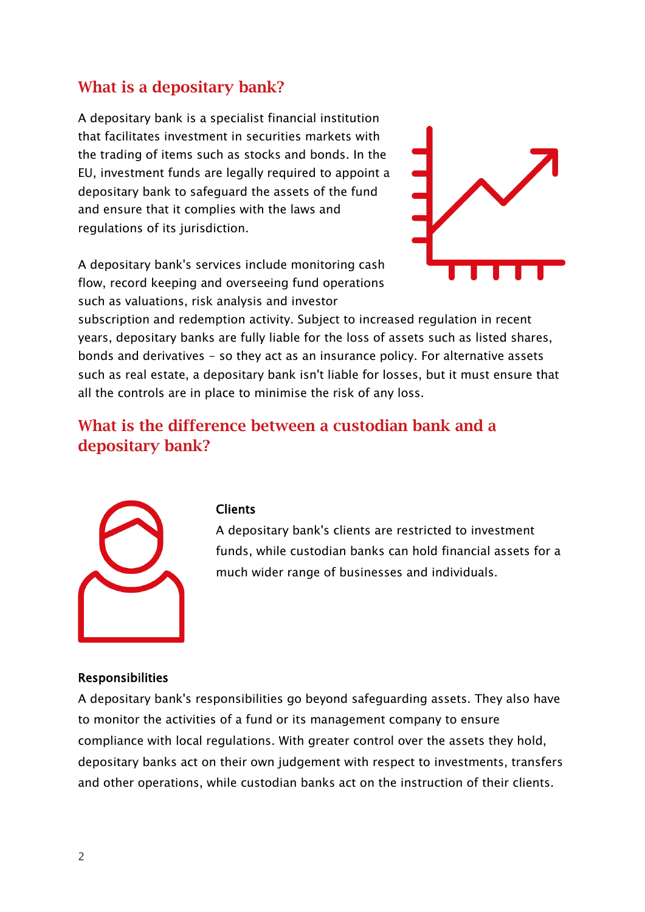## What is a depositary bank?

A depositary bank is a specialist financial institution that facilitates investment in securities markets with the trading of items such as stocks and bonds. In the EU, investment funds are legally required to appoint a depositary bank to safeguard the assets of the fund and ensure that it complies with the laws and regulations of its jurisdiction.

A depositary bank's services include monitoring cash flow, record keeping and overseeing fund operations such as valuations, risk analysis and investor



subscription and redemption activity. Subject to increased regulation in recent years, depositary banks are fully liable for the loss of assets such as listed shares, bonds and derivatives - so they act as an insurance policy. For alternative assets such as real estate, a depositary bank isn't liable for losses, but it must ensure that all the controls are in place to minimise the risk of any loss.

## What is the difference between a custodian bank and a depositary bank?



#### Clients

A depositary bank's clients are restricted to investment funds, while custodian banks can hold financial assets for a much wider range of businesses and individuals.

#### Responsibilities

A depositary bank's responsibilities go beyond safeguarding assets. They also have to monitor the activities of a fund or its management company to ensure compliance with local regulations. With greater control over the assets they hold, depositary banks act on their own judgement with respect to investments, transfers and other operations, while custodian banks act on the instruction of their clients.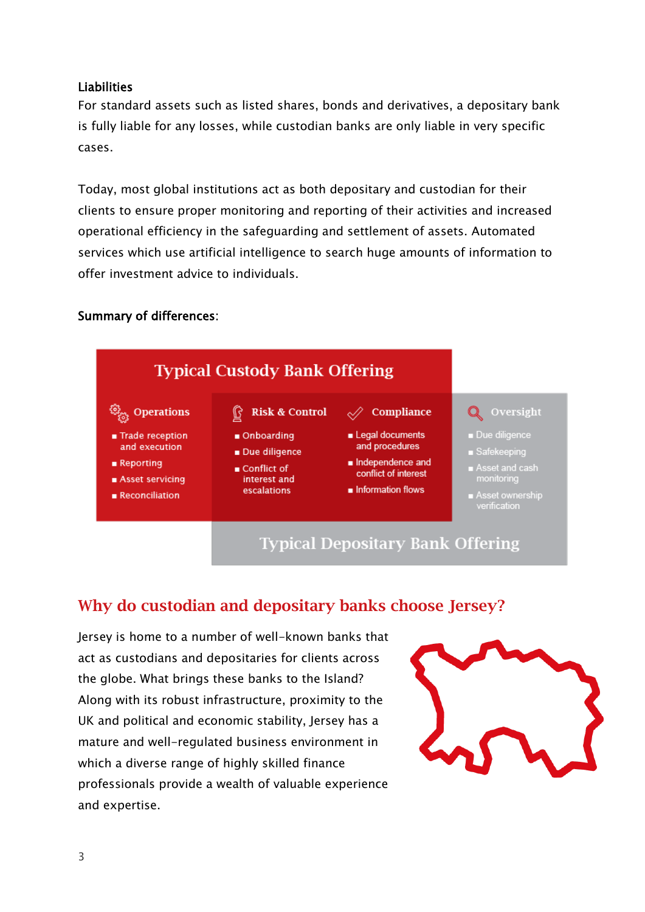## Liabilities

For standard assets such as listed shares, bonds and derivatives, a depositary bank is fully liable for any losses, while custodian banks are only liable in very specific cases.

Today, most global institutions act as both depositary and custodian for their clients to ensure proper monitoring and reporting of their activities and increased operational efficiency in the safeguarding and settlement of assets. Automated services which use artificial intelligence to search huge amounts of information to offer investment advice to individuals.

### Summary of differences:



## Why do custodian and depositary banks choose Jersey?

Jersey is home to a number of well-known banks that act as custodians and depositaries for clients across the globe. What brings these banks to the Island? Along with its robust infrastructure, proximity to the UK and political and economic stability, Jersey has a mature and well-regulated business environment in which a diverse range of highly skilled finance professionals provide a wealth of valuable experience and expertise.